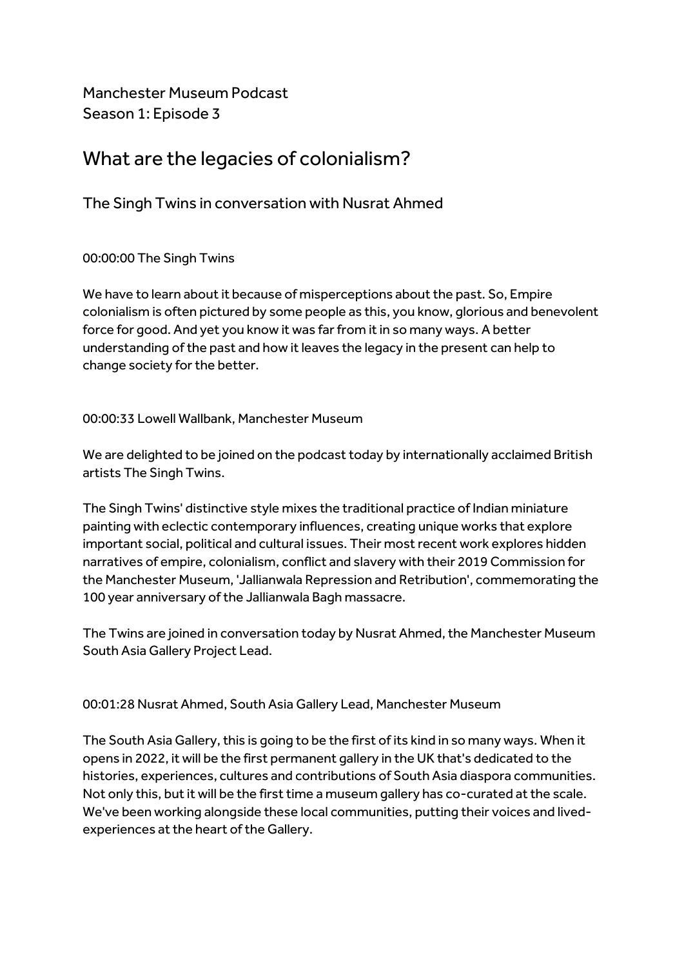Manchester Museum Podcast Season 1: Episode 3

# What are the legacies of colonialism?

The Singh Twins in conversation with Nusrat Ahmed

00:00:00 The Singh Twins

We have to learn about it because of misperceptions about the past. So, Empire colonialism is often pictured by some people as this, you know, glorious and benevolent force for good. And yet you know it was far from it in so many ways. A better understanding of the past and how it leaves the legacy in the present can help to change society for the better.

00:00:33 Lowell Wallbank, Manchester Museum

We are delighted to be joined on the podcast today by internationally acclaimed British artists The Singh Twins.

The Singh Twins' distinctive style mixes the traditional practice of Indian miniature painting with eclectic contemporary influences, creating unique works that explore important social, political and cultural issues. Their most recent work explores hidden narratives of empire, colonialism, conflict and slavery with their 2019 Commission for the Manchester Museum, 'Jallianwala Repression and Retribution', commemorating the 100 year anniversary of the Jallianwala Bagh massacre.

The Twins are joined in conversation today by Nusrat Ahmed, the Manchester Museum South Asia Gallery Project Lead.

00:01:28 Nusrat Ahmed, South Asia Gallery Lead, Manchester Museum

The South Asia Gallery, this is going to be the first of its kind in so many ways. When it opens in 2022, it will be the first permanent gallery in the UK that's dedicated to the histories, experiences, cultures and contributions of South Asia diaspora communities. Not only this, but it will be the first time a museum gallery has co-curated at the scale. We've been working alongside these local communities, putting their voices and livedexperiences at the heart of the Gallery.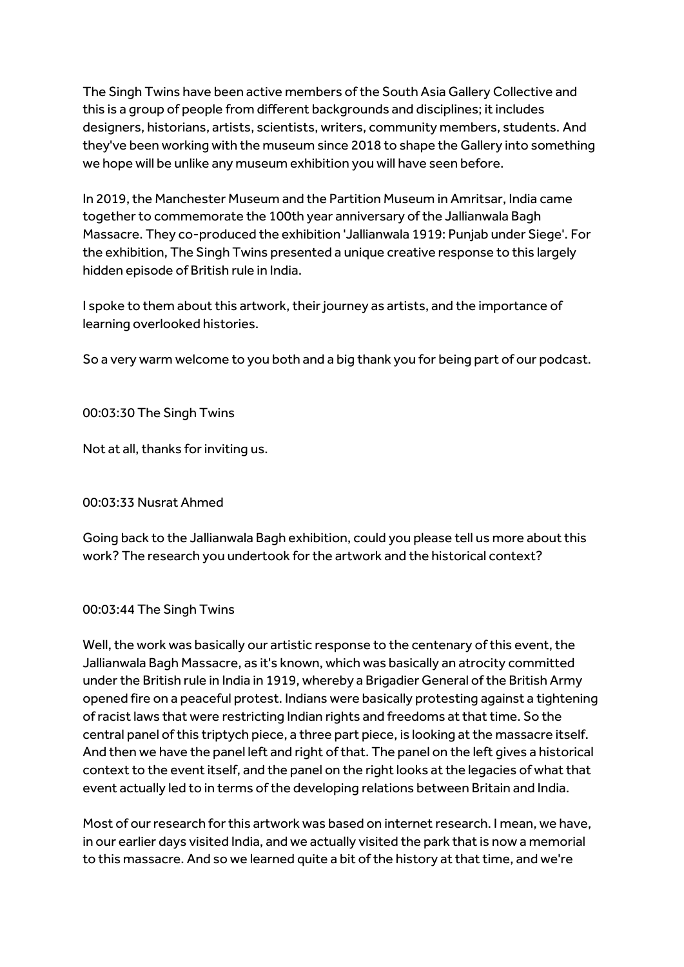The Singh Twins have been active members of the South Asia Gallery Collective and this is a group of people from different backgrounds and disciplines; it includes designers, historians, artists, scientists, writers, community members, students. And they've been working with the museum since 2018 to shape the Gallery into something we hope will be unlike any museum exhibition you will have seen before.

In 2019, the Manchester Museum and the Partition Museum in Amritsar, India came together to commemorate the 100th year anniversary of the Jallianwala Bagh Massacre. They co-produced the exhibition 'Jallianwala 1919: Punjab under Siege'. For the exhibition, The Singh Twins presented a unique creative response to this largely hidden episode of British rule in India.

I spoke to them about this artwork, their journey as artists, and the importance of learning overlooked histories.

So a very warm welcome to you both and a big thank you for being part of our podcast.

00:03:30 The Singh Twins

Not at all, thanks for inviting us.

00:03:33 Nusrat Ahmed

Going back to the Jallianwala Bagh exhibition, could you please tell us more about this work? The research you undertook for the artwork and the historical context?

# 00:03:44 The Singh Twins

Well, the work was basically our artistic response to the centenary of this event, the Jallianwala Bagh Massacre, as it's known, which was basically an atrocity committed under the British rule in India in 1919, whereby a Brigadier General of the British Army opened fire on a peaceful protest. Indians were basically protesting against a tightening of racist laws that were restricting Indian rights and freedoms at that time. So the central panel of this triptych piece, a three part piece, is looking at the massacre itself. And then we have the panel left and right of that. The panel on the left gives a historical context to the event itself, and the panel on the right looks at the legacies of what that event actually led to in terms of the developing relations between Britain and India.

Most of our research for this artwork was based on internet research. I mean, we have, in our earlier days visited India, and we actually visited the park that is now a memorial to this massacre. And so we learned quite a bit of the history at that time, and we're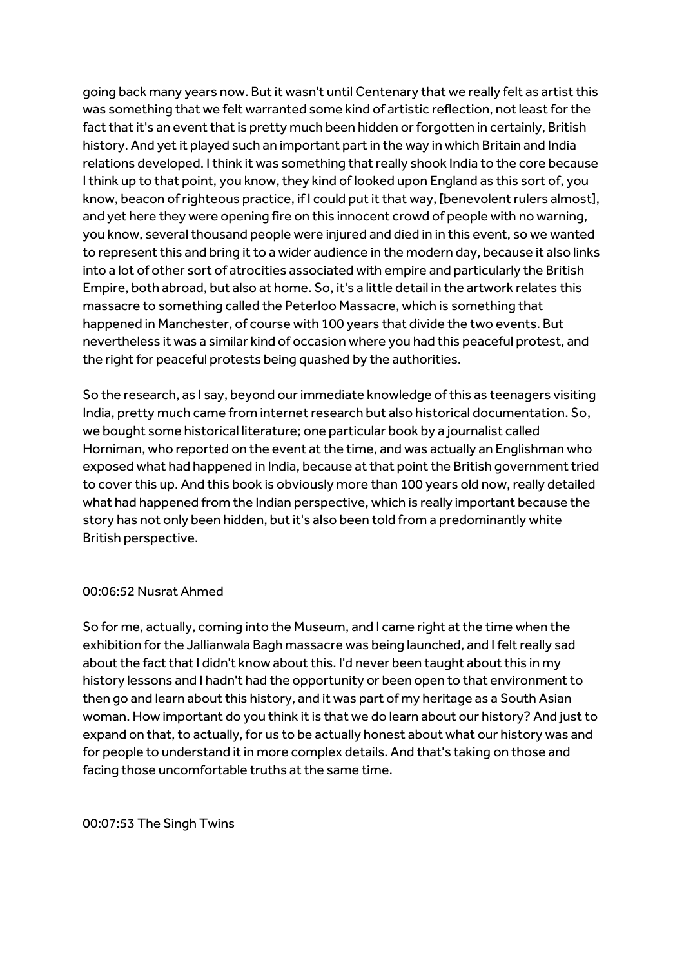going back many years now. But it wasn't until Centenary that we really felt as artist this was something that we felt warranted some kind of artistic reflection, not least for the fact that it's an event that is pretty much been hidden or forgotten in certainly, British history. And yet it played such an important part in the way in which Britain and India relations developed. I think it was something that really shook India to the core because I think up to that point, you know, they kind of looked upon England as this sort of, you know, beacon of righteous practice, if I could put it that way, [benevolent rulers almost], and yet here they were opening fire on this innocent crowd of people with no warning, you know, several thousand people were injured and died in in this event, so we wanted to represent this and bring it to a wider audience in the modern day, because it also links into a lot of other sort of atrocities associated with empire and particularly the British Empire, both abroad, but also at home. So, it's a little detail in the artwork relates this massacre to something called the Peterloo Massacre, which is something that happened in Manchester, of course with 100 years that divide the two events. But nevertheless it was a similar kind of occasion where you had this peaceful protest, and the right for peaceful protests being quashed by the authorities.

So the research, as I say, beyond our immediate knowledge of this as teenagers visiting India, pretty much came from internet research but also historical documentation. So, we bought some historical literature; one particular book by a journalist called Horniman, who reported on the event at the time, and was actually an Englishman who exposed what had happened in India, because at that point the British government tried to cover this up. And this book is obviously more than 100 years old now, really detailed what had happened from the Indian perspective, which is really important because the story has not only been hidden, but it's also been told from a predominantly white British perspective.

#### 00:06:52 Nusrat Ahmed

So for me, actually, coming into the Museum, and I came right at the time when the exhibition for the Jallianwala Bagh massacre was being launched, and I felt really sad about the fact that I didn't know about this. I'd never been taught about this in my history lessons and I hadn't had the opportunity or been open to that environment to then go and learn about this history, and it was part of my heritage as a South Asian woman. How important do you think it is that we do learn about our history? And just to expand on that, to actually, for us to be actually honest about what our history was and for people to understand it in more complex details. And that's taking on those and facing those uncomfortable truths at the same time.

00:07:53 The Singh Twins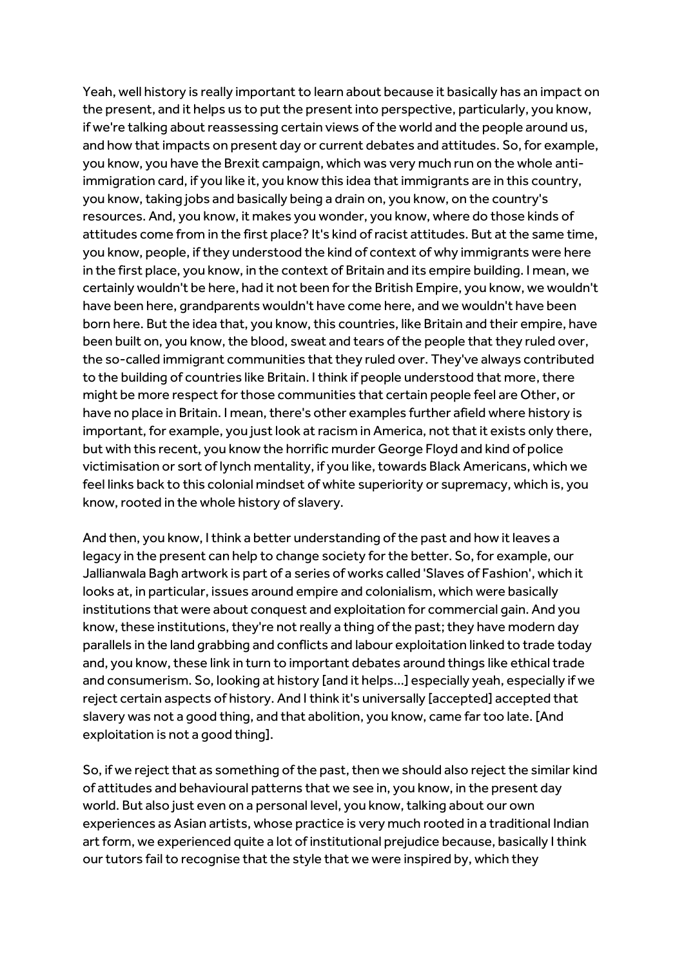Yeah, well history is really important to learn about because it basically has an impact on the present, and it helps us to put the present into perspective, particularly, you know, if we're talking about reassessing certain views of the world and the people around us, and how that impacts on present day or current debates and attitudes. So, for example, you know, you have the Brexit campaign, which was very much run on the whole antiimmigration card, if you like it, you know this idea that immigrants are in this country, you know, taking jobs and basically being a drain on, you know, on the country's resources. And, you know, it makes you wonder, you know, where do those kinds of attitudes come from in the first place? It's kind of racist attitudes. But at the same time, you know, people, if they understood the kind of context of why immigrants were here in the first place, you know, in the context of Britain and its empire building. I mean, we certainly wouldn't be here, had it not been for the British Empire, you know, we wouldn't have been here, grandparents wouldn't have come here, and we wouldn't have been born here. But the idea that, you know, this countries, like Britain and their empire, have been built on, you know, the blood, sweat and tears of the people that they ruled over, the so-called immigrant communities that they ruled over. They've always contributed to the building of countries like Britain. I think if people understood that more, there might be more respect for those communities that certain people feel are Other, or have no place in Britain. I mean, there's other examples further afield where history is important, for example, you just look at racism in America, not that it exists only there, but with this recent, you know the horrific murder George Floyd and kind of police victimisation or sort of lynch mentality, if you like, towards Black Americans, which we feel links back to this colonial mindset of white superiority or supremacy, which is, you know, rooted in the whole history of slavery.

And then, you know, I think a better understanding of the past and how it leaves a legacy in the present can help to change society for the better. So, for example, our Jallianwala Bagh artwork is part of a series of works called 'Slaves of Fashion', which it looks at, in particular, issues around empire and colonialism, which were basically institutions that were about conquest and exploitation for commercial gain. And you know, these institutions, they're not really a thing of the past; they have modern day parallels in the land grabbing and conflicts and labour exploitation linked to trade today and, you know, these link in turn to important debates around things like ethical trade and consumerism. So, looking at history [and it helps...] especially yeah, especially if we reject certain aspects of history. And I think it's universally [accepted] accepted that slavery was not a good thing, and that abolition, you know, came far too late. [And exploitation is not a good thing].

So, if we reject that as something of the past, then we should also reject the similar kind of attitudes and behavioural patterns that we see in, you know, in the present day world. But also just even on a personal level, you know, talking about our own experiences as Asian artists, whose practice is very much rooted in a traditional Indian art form, we experienced quite a lot of institutional prejudice because, basically I think our tutors fail to recognise that the style that we were inspired by, which they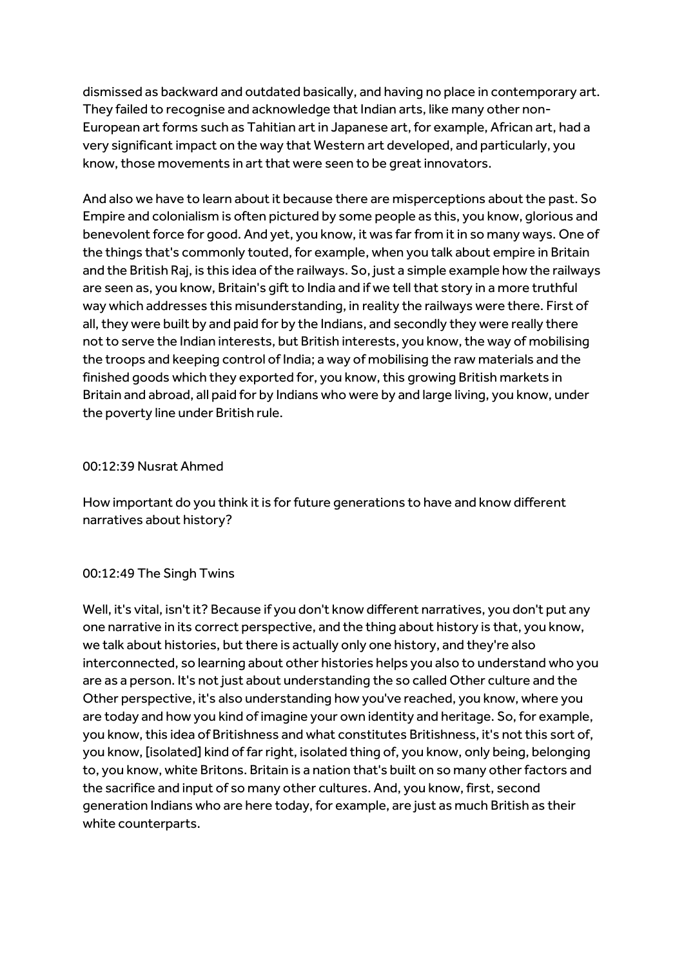dismissed as backward and outdated basically, and having no place in contemporary art. They failed to recognise and acknowledge that Indian arts, like many other non-European art forms such as Tahitian art in Japanese art, for example, African art, had a very significant impact on the way that Western art developed, and particularly, you know, those movements in art that were seen to be great innovators.

And also we have to learn about it because there are misperceptions about the past. So Empire and colonialism is often pictured by some people as this, you know, glorious and benevolent force for good. And yet, you know, it was far from it in so many ways. One of the things that's commonly touted, for example, when you talk about empire in Britain and the British Raj, is this idea of the railways. So, just a simple example how the railways are seen as, you know, Britain's gift to India and if we tell that story in a more truthful way which addresses this misunderstanding, in reality the railways were there. First of all, they were built by and paid for by the Indians, and secondly they were really there not to serve the Indian interests, but British interests, you know, the way of mobilising the troops and keeping control of India; a way of mobilising the raw materials and the finished goods which they exported for, you know, this growing British markets in Britain and abroad, all paid for by Indians who were by and large living, you know, under the poverty line under British rule.

# 00:12:39 Nusrat Ahmed

How important do you think it is for future generations to have and know different narratives about history?

# 00:12:49 The Singh Twins

Well, it's vital, isn't it? Because if you don't know different narratives, you don't put any one narrative in its correct perspective, and the thing about history is that, you know, we talk about histories, but there is actually only one history, and they're also interconnected, so learning about other histories helps you also to understand who you are as a person. It's not just about understanding the so called Other culture and the Other perspective, it's also understanding how you've reached, you know, where you are today and how you kind of imagine your own identity and heritage. So, for example, you know, this idea of Britishness and what constitutes Britishness, it's not this sort of, you know, [isolated] kind of far right, isolated thing of, you know, only being, belonging to, you know, white Britons. Britain is a nation that's built on so many other factors and the sacrifice and input of so many other cultures. And, you know, first, second generation Indians who are here today, for example, are just as much British as their white counterparts.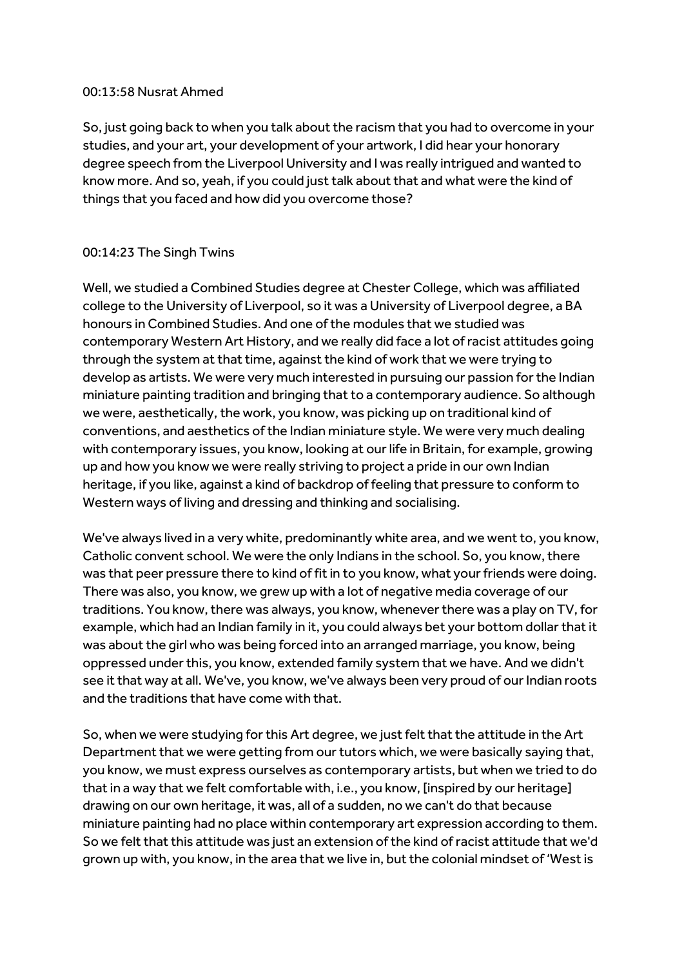#### 00:13:58 Nusrat Ahmed

So, just going back to when you talk about the racism that you had to overcome in your studies, and your art, your development of your artwork, I did hear your honorary degree speech from the Liverpool University and I was really intrigued and wanted to know more. And so, yeah, if you could just talk about that and what were the kind of things that you faced and how did you overcome those?

# 00:14:23 The Singh Twins

Well, we studied a Combined Studies degree at Chester College, which was affiliated college to the University of Liverpool, so it was a University of Liverpool degree, a BA honours in Combined Studies. And one of the modules that we studied was contemporary Western Art History, and we really did face a lot of racist attitudes going through the system at that time, against the kind of work that we were trying to develop as artists. We were very much interested in pursuing our passion for the Indian miniature painting tradition and bringing that to a contemporary audience. So although we were, aesthetically, the work, you know, was picking up on traditional kind of conventions, and aesthetics of the Indian miniature style. We were very much dealing with contemporary issues, you know, looking at our life in Britain, for example, growing up and how you know we were really striving to project a pride in our own Indian heritage, if you like, against a kind of backdrop of feeling that pressure to conform to Western ways of living and dressing and thinking and socialising.

We've always lived in a very white, predominantly white area, and we went to, you know, Catholic convent school. We were the only Indians in the school. So, you know, there was that peer pressure there to kind of fit in to you know, what your friends were doing. There was also, you know, we grew up with a lot of negative media coverage of our traditions. You know, there was always, you know, whenever there was a play on TV, for example, which had an Indian family in it, you could always bet your bottom dollar that it was about the girl who was being forced into an arranged marriage, you know, being oppressed under this, you know, extended family system that we have. And we didn't see it that way at all. We've, you know, we've always been very proud of our Indian roots and the traditions that have come with that.

So, when we were studying for this Art degree, we just felt that the attitude in the Art Department that we were getting from our tutors which, we were basically saying that, you know, we must express ourselves as contemporary artists, but when we tried to do that in a way that we felt comfortable with, i.e., you know, [inspired by our heritage] drawing on our own heritage, it was, all of a sudden, no we can't do that because miniature painting had no place within contemporary art expression according to them. So we felt that this attitude was just an extension of the kind of racist attitude that we'd grown up with, you know, in the area that we live in, but the colonial mindset of 'West is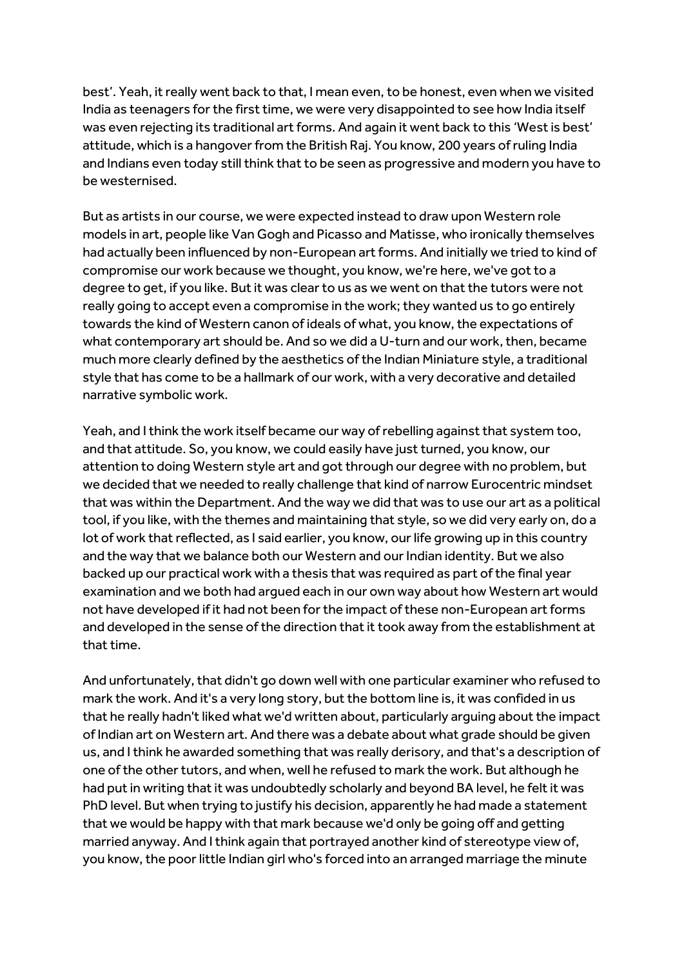best'. Yeah, it really went back to that, I mean even, to be honest, even when we visited India as teenagers for the first time, we were very disappointed to see how India itself was even rejecting its traditional art forms. And again it went back to this 'West is best' attitude, which is a hangover from the British Raj. You know, 200 years of ruling India and Indians even today still think that to be seen as progressive and modern you have to be westernised.

But as artists in our course, we were expected instead to draw upon Western role models in art, people like Van Gogh and Picasso and Matisse, who ironically themselves had actually been influenced by non-European art forms. And initially we tried to kind of compromise our work because we thought, you know, we're here, we've got to a degree to get, if you like. But it was clear to us as we went on that the tutors were not really going to accept even a compromise in the work; they wanted us to go entirely towards the kind of Western canon of ideals of what, you know, the expectations of what contemporary art should be. And so we did a U-turn and our work, then, became much more clearly defined by the aesthetics of the Indian Miniature style, a traditional style that has come to be a hallmark of our work, with a very decorative and detailed narrative symbolic work.

Yeah, and I think the work itself became our way of rebelling against that system too, and that attitude. So, you know, we could easily have just turned, you know, our attention to doing Western style art and got through our degree with no problem, but we decided that we needed to really challenge that kind of narrow Eurocentric mindset that was within the Department. And the way we did that was to use our art as a political tool, if you like, with the themes and maintaining that style, so we did very early on, do a lot of work that reflected, as I said earlier, you know, our life growing up in this country and the way that we balance both our Western and our Indian identity. But we also backed up our practical work with a thesis that was required as part of the final year examination and we both had argued each in our own way about how Western art would not have developed if it had not been for the impact of these non-European art forms and developed in the sense of the direction that it took away from the establishment at that time.

And unfortunately, that didn't go down well with one particular examiner who refused to mark the work. And it's a very long story, but the bottom line is, it was confided in us that he really hadn't liked what we'd written about, particularly arguing about the impact of Indian art on Western art. And there was a debate about what grade should be given us, and I think he awarded something that was really derisory, and that's a description of one of the other tutors, and when, well he refused to mark the work. But although he had put in writing that it was undoubtedly scholarly and beyond BA level, he felt it was PhD level. But when trying to justify his decision, apparently he had made a statement that we would be happy with that mark because we'd only be going off and getting married anyway. And I think again that portrayed another kind of stereotype view of, you know, the poor little Indian girl who's forced into an arranged marriage the minute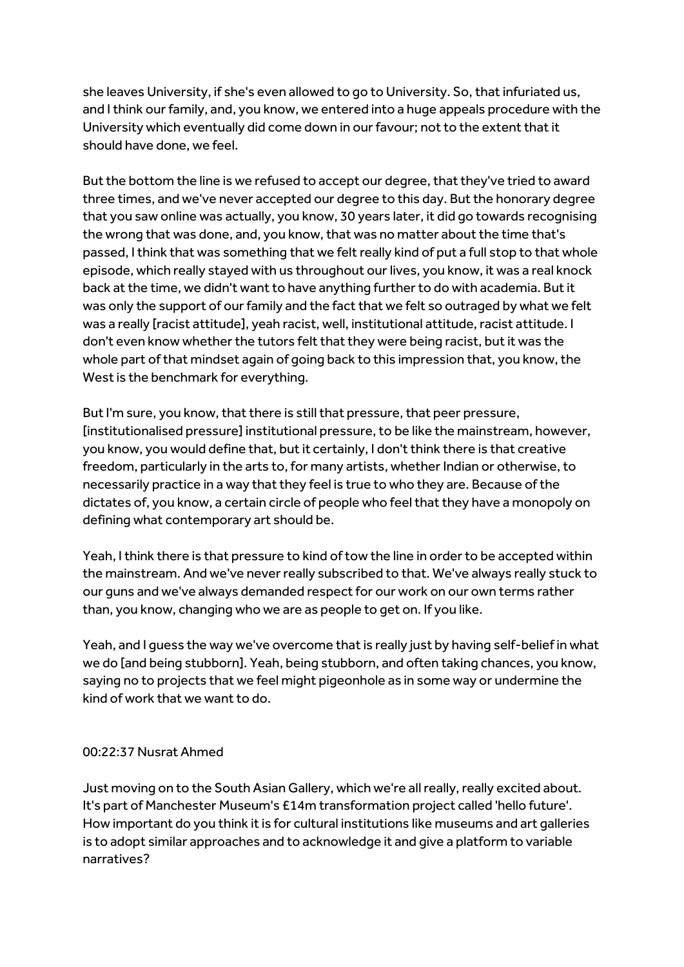she leaves University, if she's even allowed to go to University. So, that infuriated us, and I think our family, and, you know, we entered into a huge appeals procedure with the University which eventually did come down in our favour; not to the extent that it should have done, we feel.

But the bottom the line is we refused to accept our degree, that they've tried to award three times, and we've never accepted our degree to this day. But the honorary degree that you saw online was actually, you know, 30 years later, it did go towards recognising the wrong that was done, and, you know, that was no matter about the time that's passed, I think that was something that we felt really kind of put a full stop to that whole episode, which really stayed with us throughout our lives, you know, it was a real knock back at the time, we didn't want to have anything further to do with academia. But it was only the support of our family and the fact that we felt so outraged by what we felt was a really [racist attitude], yeah racist, well, institutional attitude, racist attitude. I don't even know whether the tutors felt that they were being racist, but it was the whole part of that mindset again of going back to this impression that, you know, the West is the benchmark for everything.

But I'm sure, you know, that there is still that pressure, that peer pressure, [institutionalised pressure] institutional pressure, to be like the mainstream, however, you know, you would define that, but it certainly, I don't think there is that creative freedom, particularly in the arts to, for many artists, whether Indian or otherwise, to necessarily practice in a way that they feel is true to who they are. Because of the dictates of, you know, a certain circle of people who feel that they have a monopoly on defining what contemporary art should be.

Yeah, I think there is that pressure to kind of tow the line in order to be accepted within the mainstream. And we've never really subscribed to that. We've always really stuck to our guns and we've always demanded respect for our work on our own terms rather than, you know, changing who we are as people to get on. If you like.

Yeah, and I guess the way we've overcome that is really just by having self-belief in what we do [and being stubborn]. Yeah, being stubborn, and often taking chances, you know, saying no to projects that we feel might pigeonhole as in some way or undermine the kind of work that we want to do.

#### 00:22:37 Nusrat Ahmed

Just moving on to the South Asian Gallery, which we're all really, really excited about. It's part of Manchester Museum's £14m transformation project called 'hello future'. How important do you think it is for cultural institutions like museums and art galleries is to adopt similar approaches and to acknowledge it and give a platform to variable narratives?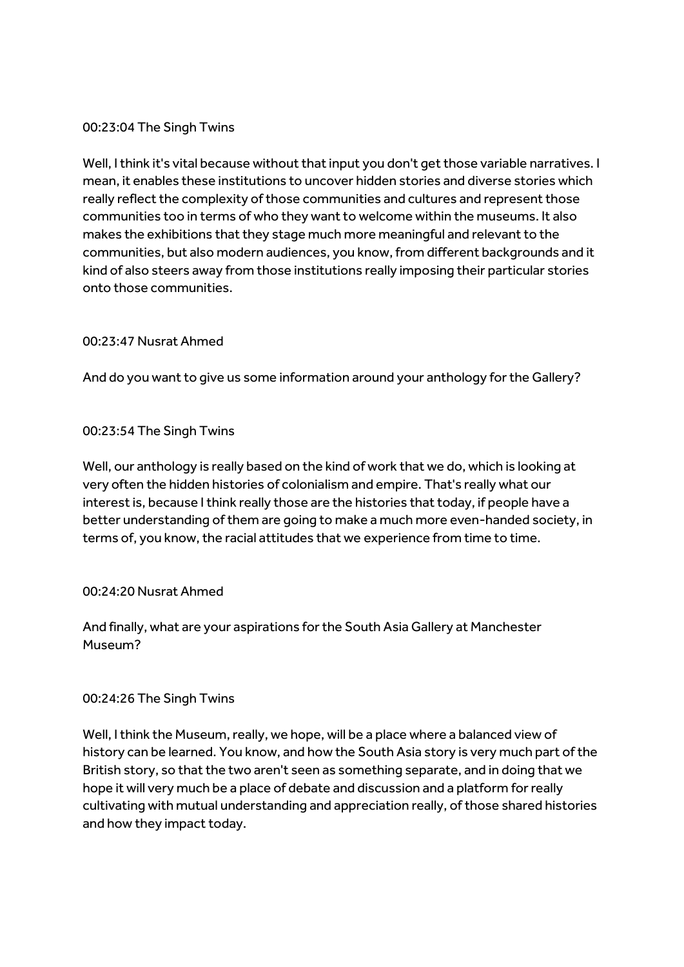## 00:23:04 The Singh Twins

Well, I think it's vital because without that input you don't get those variable narratives. I mean, it enables these institutions to uncover hidden stories and diverse stories which really reflect the complexity of those communities and cultures and represent those communities too in terms of who they want to welcome within the museums. It also makes the exhibitions that they stage much more meaningful and relevant to the communities, but also modern audiences, you know, from different backgrounds and it kind of also steers away from those institutions really imposing their particular stories onto those communities.

## 00:23:47 Nusrat Ahmed

And do you want to give us some information around your anthology for the Gallery?

## 00:23:54 The Singh Twins

Well, our anthology is really based on the kind of work that we do, which is looking at very often the hidden histories of colonialism and empire. That's really what our interest is, because I think really those are the histories that today, if people have a better understanding of them are going to make a much more even-handed society, in terms of, you know, the racial attitudes that we experience from time to time.

#### 00:24:20 Nusrat Ahmed

And finally, what are your aspirations for the South Asia Gallery at Manchester Museum?

#### 00:24:26 The Singh Twins

Well, I think the Museum, really, we hope, will be a place where a balanced view of history can be learned. You know, and how the South Asia story is very much part of the British story, so that the two aren't seen as something separate, and in doing that we hope it will very much be a place of debate and discussion and a platform for really cultivating with mutual understanding and appreciation really, of those shared histories and how they impact today.